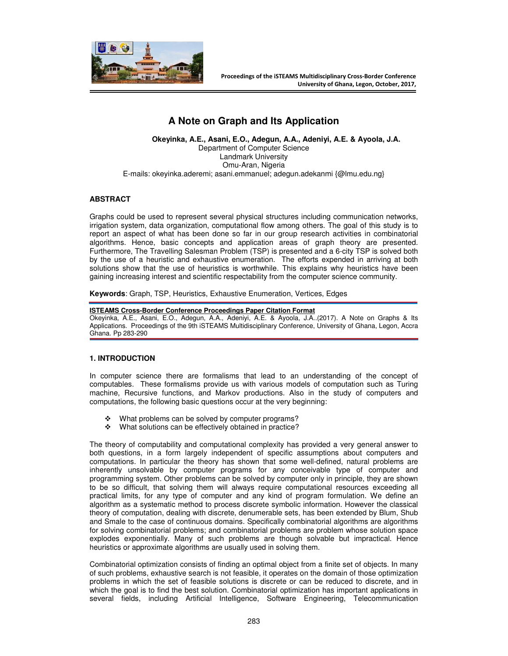

# **A Note on Graph and Its Application**

**Okeyinka, A.E., Asani, E.O., Adegun, A.A., Adeniyi, A.E. & Ayoola, J.A.**  Department of Computer Science Landmark University Omu-Aran, Nigeria E-mails: okeyinka.aderemi; asani.emmanuel; adegun.adekanmi {@lmu.edu.ng}

# **ABSTRACT**

Graphs could be used to represent several physical structures including communication networks, irrigation system, data organization, computational flow among others. The goal of this study is to report an aspect of what has been done so far in our group research activities in combinatorial algorithms. Hence, basic concepts and application areas of graph theory are presented. Furthermore, The Travelling Salesman Problem (TSP) is presented and a 6-city TSP is solved both by the use of a heuristic and exhaustive enumeration. The efforts expended in arriving at both solutions show that the use of heuristics is worthwhile. This explains why heuristics have been gaining increasing interest and scientific respectability from the computer science community.

**Keywords**: Graph, TSP, Heuristics, Exhaustive Enumeration, Vertices, Edges

#### **ISTEAMS Cross-Border Conference Proceedings Paper Citation Format**

Okeyinka, A.E., Asani, E.O., Adegun, A.A., Adeniyi, A.E. & Ayoola, J.A..(2017). A Note on Graphs & Its Applications. Proceedings of the 9th iSTEAMS Multidisciplinary Conference, University of Ghana, Legon, Accra Ghana. Pp 283-290

# **1. INTRODUCTION**

In computer science there are formalisms that lead to an understanding of the concept of computables. These formalisms provide us with various models of computation such as Turing machine, Recursive functions, and Markov productions. Also in the study of computers and computations, the following basic questions occur at the very beginning:

- \* What problems can be solved by computer programs?
- ◆ What solutions can be effectively obtained in practice?

The theory of computability and computational complexity has provided a very general answer to both questions, in a form largely independent of specific assumptions about computers and computations. In particular the theory has shown that some well-defined, natural problems are inherently unsolvable by computer programs for any conceivable type of computer and programming system. Other problems can be solved by computer only in principle, they are shown to be so difficult, that solving them will always require computational resources exceeding all practical limits, for any type of computer and any kind of program formulation. We define an algorithm as a systematic method to process discrete symbolic information. However the classical theory of computation, dealing with discrete, denumerable sets, has been extended by Blum, Shub and Smale to the case of continuous domains. Specifically combinatorial algorithms are algorithms for solving combinatorial problems; and combinatorial problems are problem whose solution space explodes exponentially. Many of such problems are though solvable but impractical. Hence heuristics or approximate algorithms are usually used in solving them.

Combinatorial optimization consists of finding an optimal object from a finite set of objects. In many of such problems, exhaustive search is not feasible, it operates on the domain of those optimization problems in which the set of feasible solutions is discrete or can be reduced to discrete, and in which the goal is to find the best solution. Combinatorial optimization has important applications in several fields, including Artificial Intelligence, Software Engineering, Telecommunication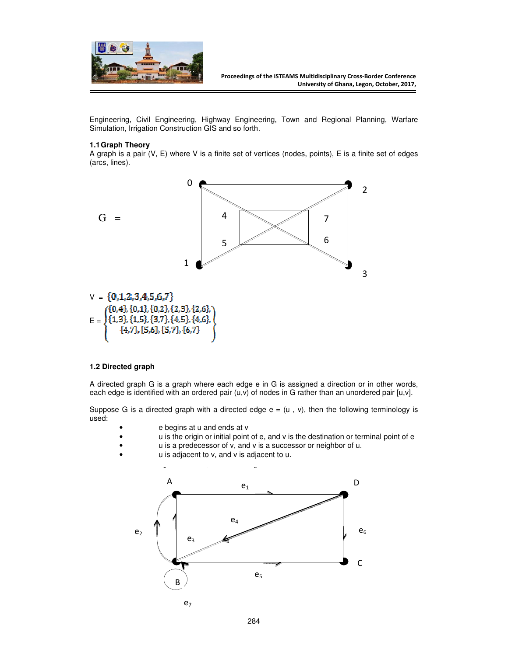

Engineering, Civil Engineering, Highway Engineering, Town and Regional Planning, Warfare Simulation, Irrigation Construction GIS and so forth.

# **1.1 Graph Theory**

A graph is a pair (V, E) where V is a finite set of vertices (nodes, points), E is a finite set of edges (arcs, lines).



#### **1.2 Directed graph**

A directed graph G is a graph where each edge e in G is assigned a direction or in other words, each edge is identified with an ordered pair  $(u,v)$  of nodes in G rather than an unordered pair [u,v].

Suppose G is a directed graph with a directed edge  $e = (u, v)$ , then the following terminology is used:

- e begins at u and ends at v
- u is the origin or initial point of e, and v is the destination or terminal point of e
- u is a predecessor of v, and v is a successor or neighbor of u.
- u is adjacent to v, and v is adjacent to u.

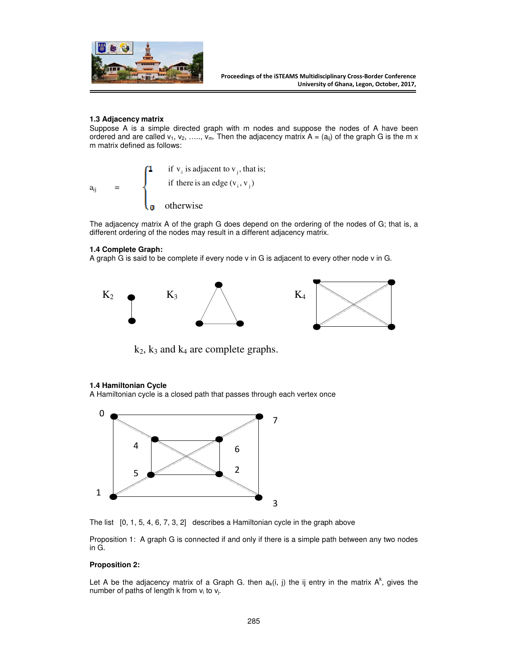

# **1.3 Adjacency matrix**

Suppose A is a simple directed graph with m nodes and suppose the nodes of A have been ordered and are called  $v_1, v_2, \ldots, v_m$ . Then the adjacency matrix  $A = (a_{ij})$  of the graph G is the m x m matrix defined as follows:

 $a_{ij}$ otherwise if there is an edge  $(v_i, v_j)$ if  $v_i$  is adjacent to  $v_i$ , that is; ji  $_i$  is aujaccin to  $v_j$ 

The adjacency matrix A of the graph G does depend on the ordering of the nodes of G; that is, a different ordering of the nodes may result in a different adjacency matrix.

# **1.4 Complete Graph:**

A graph G is said to be complete if every node v in G is adjacent to every other node v in G.



 $k_2$ ,  $k_3$  and  $k_4$  are complete graphs.

# **1.4 Hamiltonian Cycle**

A Hamiltonian cycle is a closed path that passes through each vertex once



The list [0, 1, 5, 4, 6, 7, 3, 2] describes a Hamiltonian cycle in the graph above

Proposition 1: A graph G is connected if and only if there is a simple path between any two nodes in G.

# **Proposition 2:**

Let A be the adjacency matrix of a Graph G. then  $a_k(i, j)$  the ij entry in the matrix  $A^k$ , gives the number of paths of length k from  $v_i$  to  $v_i$ .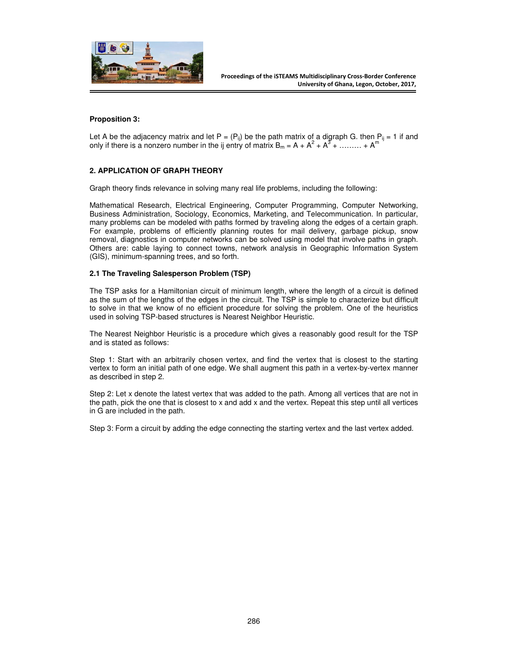

# **Proposition 3:**

Let A be the adjacency matrix and let  $P = (P_{ij})$  be the path matrix of a digraph G. then  $P_{ij} = 1$  if and only if there is a nonzero number in the ij entry of matrix  $B_m = A + A^2 + A^3 + \dots + A^m$ 

# **2. APPLICATION OF GRAPH THEORY**

Graph theory finds relevance in solving many real life problems, including the following:

Mathematical Research, Electrical Engineering, Computer Programming, Computer Networking, Business Administration, Sociology, Economics, Marketing, and Telecommunication. In particular, many problems can be modeled with paths formed by traveling along the edges of a certain graph. For example, problems of efficiently planning routes for mail delivery, garbage pickup, snow removal, diagnostics in computer networks can be solved using model that involve paths in graph. Others are: cable laying to connect towns, network analysis in Geographic Information System (GIS), minimum-spanning trees, and so forth.

# **2.1 The Traveling Salesperson Problem (TSP)**

The TSP asks for a Hamiltonian circuit of minimum length, where the length of a circuit is defined as the sum of the lengths of the edges in the circuit. The TSP is simple to characterize but difficult to solve in that we know of no efficient procedure for solving the problem. One of the heuristics used in solving TSP-based structures is Nearest Neighbor Heuristic.

The Nearest Neighbor Heuristic is a procedure which gives a reasonably good result for the TSP and is stated as follows:

Step 1: Start with an arbitrarily chosen vertex, and find the vertex that is closest to the starting vertex to form an initial path of one edge. We shall augment this path in a vertex-by-vertex manner as described in step 2.

Step 2: Let x denote the latest vertex that was added to the path. Among all vertices that are not in the path, pick the one that is closest to x and add x and the vertex. Repeat this step until all vertices in G are included in the path.

Step 3: Form a circuit by adding the edge connecting the starting vertex and the last vertex added.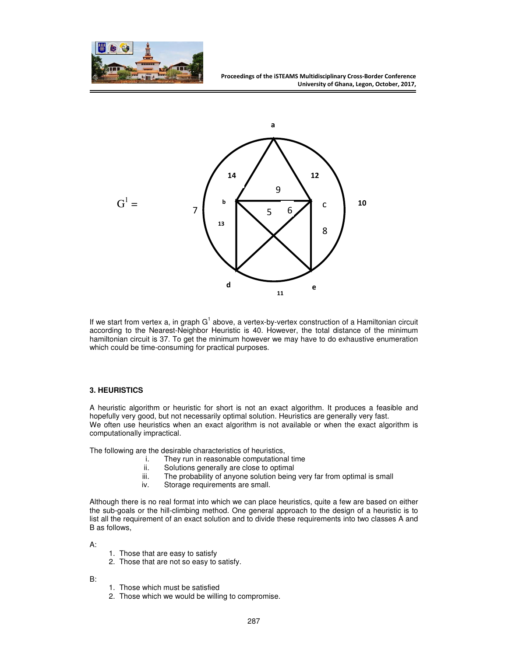



If we start from vertex a, in graph  $G^1$  above, a vertex-by-vertex construction of a Hamiltonian circuit according to the Nearest-Neighbor Heuristic is 40. However, the total distance of the minimum hamiltonian circuit is 37. To get the minimum however we may have to do exhaustive enumeration which could be time-consuming for practical purposes.

# **3. HEURISTICS**

A heuristic algorithm or heuristic for short is not an exact algorithm. It produces a feasible and hopefully very good, but not necessarily optimal solution. Heuristics are generally very fast. We often use heuristics when an exact algorithm is not available or when the exact algorithm is computationally impractical.

The following are the desirable characteristics of heuristics,<br>i. They run in reasonable computationa

- They run in reasonable computational time
- ii. Solutions generally are close to optimal
- iii. The probability of anyone solution being very far from optimal is small
- iv. Storage requirements are small.

Although there is no real format into which we can place heuristics, quite a few are based on either the sub-goals or the hill-climbing method. One general approach to the design of a heuristic is to list all the requirement of an exact solution and to divide these requirements into two classes A and B as follows,

A:

- 1. Those that are easy to satisfy
- 2. Those that are not so easy to satisfy.
- B:
- 1. Those which must be satisfied
- 2. Those which we would be willing to compromise.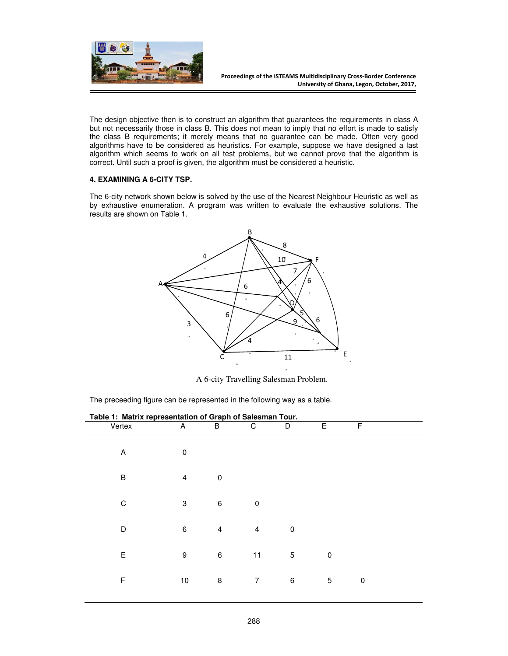

The design objective then is to construct an algorithm that guarantees the requirements in class A but not necessarily those in class B. This does not mean to imply that no effort is made to satisfy the class B requirements; it merely means that no guarantee can be made. Often very good algorithms have to be considered as heuristics. For example, suppose we have designed a last algorithm which seems to work on all test problems, but we cannot prove that the algorithm is correct. Until such a proof is given, the algorithm must be considered a heuristic.

# **4. EXAMINING A 6-CITY TSP.**

The 6-city network shown below is solved by the use of the Nearest Neighbour Heuristic as well as by exhaustive enumeration. A program was written to evaluate the exhaustive solutions. The results are shown on Table 1.



A 6-city Travelling Salesman Problem.

The preceeding figure can be represented in the following way as a table.

| .<br>. .<br><br>Vertex | ,,,,,,<br><br>$\overline{A}$ | <br><br>$\overline{B}$ | $\overline{C}$          | <br>$\overline{D}$ | E         | F         |  |
|------------------------|------------------------------|------------------------|-------------------------|--------------------|-----------|-----------|--|
| A                      | $\pmb{0}$                    |                        |                         |                    |           |           |  |
| $\sf B$                | $\overline{4}$               | $\pmb{0}$              |                         |                    |           |           |  |
| C                      | $\ensuremath{\mathsf{3}}$    | $\,6\,$                | $\pmb{0}$               |                    |           |           |  |
| D                      | $\,6\,$                      | $\overline{4}$         | $\overline{\mathbf{4}}$ | $\pmb{0}$          |           |           |  |
| $\mathsf E$            | $\boldsymbol{9}$             | $\,6\,$                | 11                      | $\mathbf 5$        | $\pmb{0}$ |           |  |
| F                      | 10                           | 8                      | $\overline{7}$          | 6                  | 5         | $\pmb{0}$ |  |
|                        |                              |                        |                         |                    |           |           |  |

**Table 1: Matrix representation of Graph of Salesman Tour.**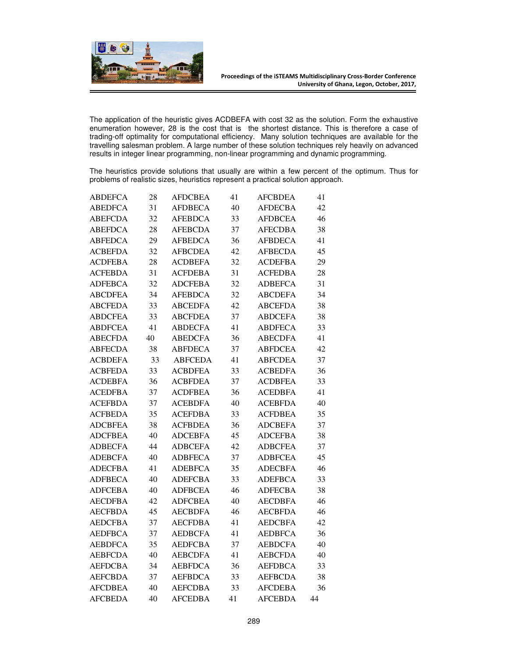

The application of the heuristic gives ACDBEFA with cost 32 as the solution. Form the exhaustive enumeration however, 28 is the cost that is the shortest distance. This is therefore a case of trading-off optimality for computational efficiency. Many solution techniques are available for the travelling salesman problem. A large number of these solution techniques rely heavily on advanced results in integer linear programming, non-linear programming and dynamic programming.

The heuristics provide solutions that usually are within a few percent of the optimum. Thus for problems of realistic sizes, heuristics represent a practical solution approach.

| <b>ABDEFCA</b> | 28 | <b>AFDCBEA</b> | 41 | <b>AFCBDEA</b> | 41 |
|----------------|----|----------------|----|----------------|----|
| <b>ABEDFCA</b> | 31 | <b>AFDBECA</b> | 40 | AFDECBA        | 42 |
| <b>ABEFCDA</b> | 32 | <b>AFEBDCA</b> | 33 | <b>AFDBCEA</b> | 46 |
| <b>ABEFDCA</b> | 28 | <b>AFEBCDA</b> | 37 | <b>AFECDBA</b> | 38 |
| <b>ABFEDCA</b> | 29 | <b>AFBEDCA</b> | 36 | <b>AFBDECA</b> | 41 |
| ACBEFDA        | 32 | <b>AFBCDEA</b> | 42 | AFBECDA        | 45 |
| ACDFEBA        | 28 | ACDBEFA        | 32 | ACDEFBA        | 29 |
| <b>ACFEBDA</b> | 31 | <b>ACFDEBA</b> | 31 | <b>ACFEDBA</b> | 28 |
| <b>ADFEBCA</b> | 32 | <b>ADCFEBA</b> | 32 | <b>ADBEFCA</b> | 31 |
| <b>ABCDFEA</b> | 34 | <b>AFEBDCA</b> | 32 | <b>ABCDEFA</b> | 34 |
| <b>ABCFEDA</b> | 33 | <b>ABCEDFA</b> | 42 | <b>ABCEFDA</b> | 38 |
| ABDCFEA        | 33 | <b>ABCFDEA</b> | 37 | <b>ABDCEFA</b> | 38 |
| ABDFCEA        | 41 | ABDECFA        | 41 | <b>ABDFECA</b> | 33 |
| <b>ABECFDA</b> | 40 | <b>ABEDCFA</b> | 36 | <b>ABECDFA</b> | 41 |
| <b>ABFECDA</b> | 38 | <b>ABFDECA</b> | 37 | <b>ABFDCEA</b> | 42 |
| <b>ACBDEFA</b> | 33 | <b>ABFCEDA</b> | 41 | <b>ABFCDEA</b> | 37 |
| ACBFEDA        | 33 | <b>ACBDFEA</b> | 33 | <b>ACBEDFA</b> | 36 |
| ACDEBFA        | 36 | ACBFDEA        | 37 | ACDBFEA        | 33 |
| ACEDFBA        | 37 | ACDFBEA        | 36 | ACEDBFA        | 41 |
| <b>ACEFBDA</b> | 37 | <b>ACEBDFA</b> | 40 | <b>ACEBFDA</b> | 40 |
| <b>ACFBEDA</b> | 35 | <b>ACEFDBA</b> | 33 | <b>ACFDBEA</b> | 35 |
| <b>ADCBFEA</b> | 38 | <b>ACFBDEA</b> | 36 | <b>ADCBEFA</b> | 37 |
| ADCFBEA        | 40 | ADCEBFA        | 45 | ADCEFBA        | 38 |
| ADBECFA        | 44 | ADBCEFA        | 42 | ADBCFEA        | 37 |
| ADEBCFA        | 40 | ADBFECA        | 37 | ADBFCEA        | 45 |
| <b>ADECFBA</b> | 41 | ADEBFCA        | 35 | <b>ADECBFA</b> | 46 |
| <b>ADFBECA</b> | 40 | <b>ADEFCBA</b> | 33 | <b>ADEFBCA</b> | 33 |
| <b>ADFCEBA</b> | 40 | <b>ADFBCEA</b> | 46 | <b>ADFECBA</b> | 38 |
| <b>AECDFBA</b> | 42 | ADFCBEA        | 40 | <b>AECDBFA</b> | 46 |
| <b>AECFBDA</b> | 45 | AECBDFA        | 46 | <b>AECBFDA</b> | 46 |
| <b>AEDCFBA</b> | 37 | <b>AECFDBA</b> | 41 | <b>AEDCBFA</b> | 42 |
| <b>AEDFBCA</b> | 37 | <b>AEDBCFA</b> | 41 | <b>AEDBFCA</b> | 36 |
| <b>AEBDFCA</b> | 35 | <b>AEDFCBA</b> | 37 | <b>AEBDCFA</b> | 40 |
| <b>AEBFCDA</b> | 40 | <b>AEBCDFA</b> | 41 | <b>AEBCFDA</b> | 40 |
| AEFDCBA        | 34 | <b>AEBFDCA</b> | 36 | <b>AEFDBCA</b> | 33 |
| AEFCBDA        | 37 | AEFBDCA        | 33 | AEFBCDA        | 38 |
| <b>AFCDBEA</b> | 40 | <b>AEFCDBA</b> | 33 | <b>AFCDEBA</b> | 36 |
| <b>AFCBEDA</b> | 40 | <b>AFCEDBA</b> | 41 | <b>AFCEBDA</b> | 44 |